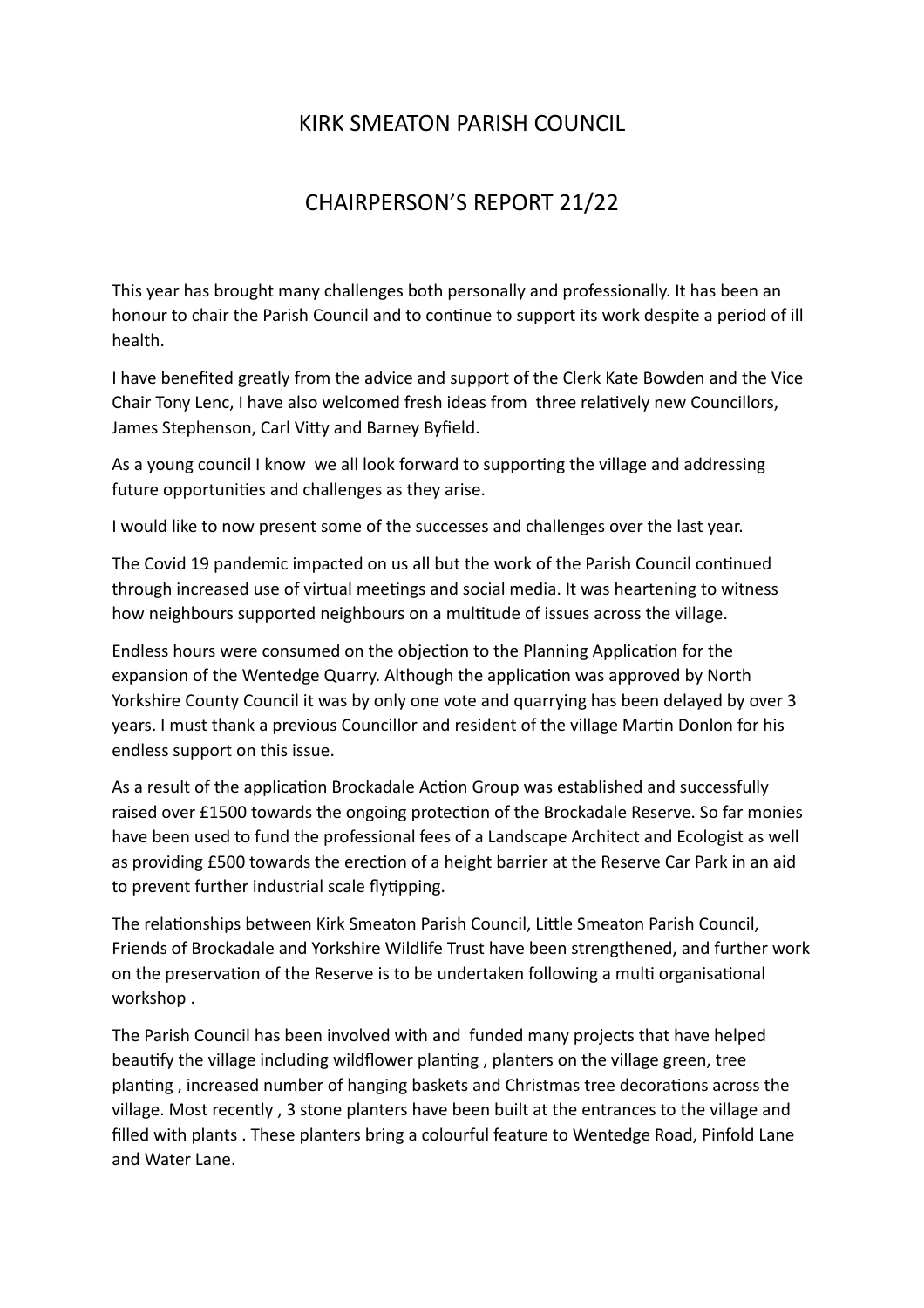## KIRK SMEATON PARISH COUNCIL

## CHAIRPERSON'S REPORT 21/22

This year has brought many challenges both personally and professionally. It has been an honour to chair the Parish Council and to continue to support its work despite a period of ill health.

I have benefited greatly from the advice and support of the Clerk Kate Bowden and the Vice Chair Tony Lenc, I have also welcomed fresh ideas from three relatively new Councillors, James Stephenson, Carl Vitty and Barney Byfield.

As a young council I know we all look forward to supporting the village and addressing future opportunities and challenges as they arise.

I would like to now present some of the successes and challenges over the last year.

The Covid 19 pandemic impacted on us all but the work of the Parish Council continued through increased use of virtual meetings and social media. It was heartening to witness how neighbours supported neighbours on a multitude of issues across the village.

Endless hours were consumed on the objection to the Planning Application for the expansion of the Wentedge Quarry. Although the application was approved by North Yorkshire County Council it was by only one vote and quarrying has been delayed by over 3 years. I must thank a previous Councillor and resident of the village Martin Donlon for his endless support on this issue.

As a result of the application Brockadale Action Group was established and successfully raised over £1500 towards the ongoing protection of the Brockadale Reserve. So far monies have been used to fund the professional fees of a Landscape Architect and Ecologist as well as providing £500 towards the erection of a height barrier at the Reserve Car Park in an aid to prevent further industrial scale flytipping.

The relationships between Kirk Smeaton Parish Council, Little Smeaton Parish Council, Friends of Brockadale and Yorkshire Wildlife Trust have been strengthened, and further work on the preservation of the Reserve is to be undertaken following a multi organisational workshop .

The Parish Council has been involved with and funded many projects that have helped beautify the village including wildflower planting , planters on the village green, tree planting , increased number of hanging baskets and Christmas tree decorations across the village. Most recently , 3 stone planters have been built at the entrances to the village and filled with plants . These planters bring a colourful feature to Wentedge Road, Pinfold Lane and Water Lane.